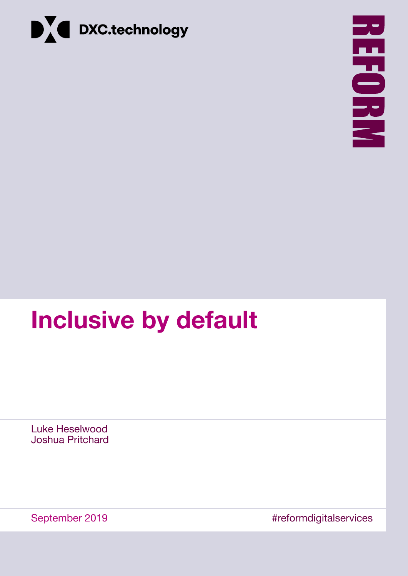



# **Inclusive by default**

Luke Heselwood Joshua Pritchard

September 2019 **Example 2019** #reformdigitalservices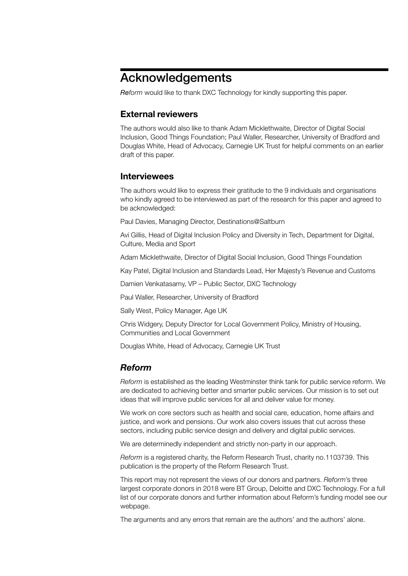# Acknowledgements

*Reform* would like to thank DXC Technology for kindly supporting this paper.

# **External reviewers**

The authors would also like to thank Adam Micklethwaite, Director of Digital Social Inclusion, Good Things Foundation; Paul Waller, Researcher, University of Bradford and Douglas White, Head of Advocacy, Carnegie UK Trust for helpful comments on an earlier draft of this paper.

## **Interviewees**

The authors would like to express their gratitude to the 9 individuals and organisations who kindly agreed to be interviewed as part of the research for this paper and agreed to be acknowledged:

Paul Davies, Managing Director, Destinations@Saltburn

Avi Gillis, Head of Digital Inclusion Policy and Diversity in Tech, Department for Digital, Culture, Media and Sport

Adam Micklethwaite, Director of Digital Social Inclusion, Good Things Foundation

Kay Patel, Digital Inclusion and Standards Lead, Her Majesty's Revenue and Customs

Damien Venkatasamy, VP – Public Sector, DXC Technology

Paul Waller, Researcher, University of Bradford

Sally West, Policy Manager, Age UK

Chris Widgery, Deputy Director for Local Government Policy, Ministry of Housing, Communities and Local Government

Douglas White, Head of Advocacy, Carnegie UK Trust

# *Reform*

*Reform* is established as the leading Westminster think tank for public service reform. We are dedicated to achieving better and smarter public services. Our mission is to set out ideas that will improve public services for all and deliver value for money.

We work on core sectors such as health and social care, education, home affairs and justice, and work and pensions. Our work also covers issues that cut across these sectors, including public service design and delivery and digital public services.

We are determinedly independent and strictly non-party in our approach.

*Reform* is a registered charity, the Reform Research Trust, charity no.1103739. This publication is the property of the Reform Research Trust.

This report may not represent the views of our donors and partners. *Reform*'s three largest corporate donors in 2018 were BT Group, Deloitte and DXC Technology. For a full list of our corporate donors and further information about Reform's funding model see our [webpage](https://reform.uk/what-we-do/transparency).

The arguments and any errors that remain are the authors' and the authors' alone.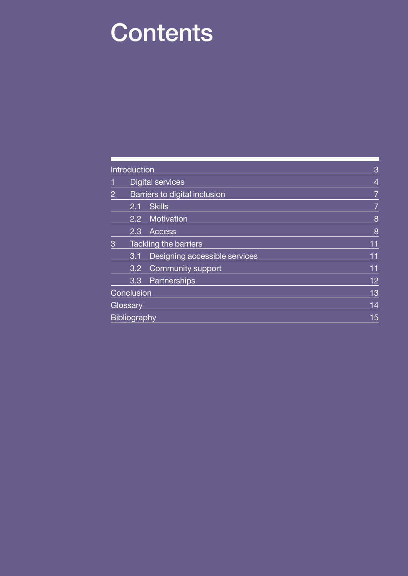# **Contents**

|                | Introduction            | 3                             |    |
|----------------|-------------------------|-------------------------------|----|
|                | <b>Digital services</b> | $\overline{4}$                |    |
| $\overline{2}$ |                         | Barriers to digital inclusion | 7  |
|                | 2.1                     | <b>Skills</b>                 | 7  |
|                |                         | 2.2 Motivation                | 8  |
|                | 2.3                     | <b>Access</b>                 | 8  |
| 3              |                         | <b>Tackling the barriers</b>  | 11 |
|                | 3.1                     | Designing accessible services | 11 |
|                | 3.2                     | Community support             | 11 |
|                | 3.3                     | Partnerships                  | 12 |
|                | Conclusion              | 13                            |    |
|                | Glossary                | 14                            |    |
|                | <b>Bibliography</b>     | 15                            |    |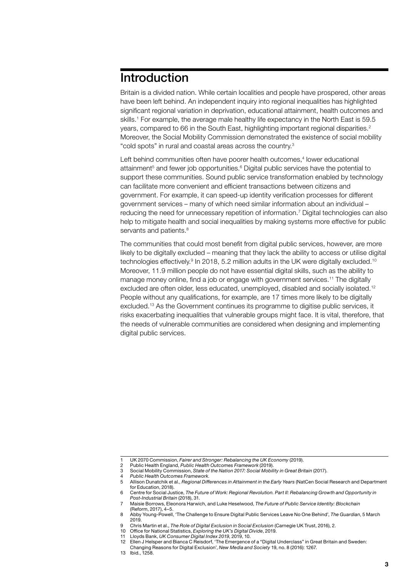# <span id="page-4-0"></span>Introduction

Britain is a divided nation. While certain localities and people have prospered, other areas have been left behind. An independent inquiry into regional inequalities has highlighted significant regional variation in deprivation, educational attainment, health outcomes and skills.1 For example, the average male healthy life expectancy in the North East is 59.5 years, compared to 66 in the South East, highlighting important regional disparities.<sup>2</sup> Moreover, the Social Mobility Commission demonstrated the existence of social mobility "cold spots" in rural and coastal areas across the country.3

Left behind communities often have poorer health outcomes,<sup>4</sup> lower educational attainment<sup>5</sup> and fewer job opportunities.<sup>6</sup> Digital public services have the potential to support these communities. Sound public service transformation enabled by technology can facilitate more convenient and efficient transactions between citizens and government. For example, it can speed-up identity verification processes for different government services – many of which need similar information about an individual – reducing the need for unnecessary repetition of information.7 Digital technologies can also help to mitigate health and social inequalities by making systems more effective for public servants and patients.<sup>8</sup>

The communities that could most benefit from digital public services, however, are more likely to be digitally excluded – meaning that they lack the ability to access or utilise digital technologies effectively.<sup>9</sup> In 2018, 5.2 million adults in the UK were digitally excluded.<sup>10</sup> Moreover, 11.9 million people do not have essential digital skills, such as the ability to manage money online, find a job or engage with government services.11 The digitally excluded are often older, less educated, unemployed, disabled and socially isolated.12 People without any qualifications, for example, are 17 times more likely to be digitally excluded.13 As the Government continues its programme to digitise public services, it risks exacerbating inequalities that vulnerable groups might face. It is vital, therefore, that the needs of vulnerable communities are considered when designing and implementing digital public services.

<sup>1</sup> UK 2070 Commission, *Fairer and Stronger: Rebalancing the UK Economy* (2019).

<sup>2</sup> Public Health England, *Public Health Outcomes Framework* (2019). 3 Social Mobility Commission, *State of the Nation 2017: Social Mobility in Great Britain* (2017).

<sup>4</sup> *Public Health Outcomes Framework*.

<sup>5</sup> Allison Dunatchik et al., *Regional Differences in Attainment in the Early Years* (NatCen Social Research and Department for Education, 2018).

<sup>6</sup> Centre for Social Justice, *The Future of Work: Regional Revolution. Part II: Rebalancing Growth and Opportunity in Post-Industrial Britain* (2018), 31.

<sup>7</sup> Maisie Borrows, Eleonora Harwich, and Luke Heselwood, *The Future of Public Service Identity: Blockchain* (Reform, 2017), 4–5.

<sup>8</sup> Abby Young-Powell, 'The Challenge to Ensure Digital Public Services Leave No One Behind', *The Guardian*, 5 March 2019.

<sup>9</sup> Chris Martin et al., *The Role of Digital Exclusion in Social Exclusion* (Carnegie UK Trust, 2016), 2.

<sup>10</sup> Office for National Statistics, *Exploring the UK's Digital Divide*, 2019.

<sup>11</sup> Lloyds Bank, *UK Consumer Digital Index 2019*, 2019, 10.

<sup>12</sup> Ellen J Helsper and Bianca C Reisdorf, 'The Emergence of a "Digital Underclass" in Great Britain and Sweden: Changing Reasons for Digital Exclusion', *New Media and Society* 19, no. 8 (2016): 1267.

<sup>13</sup> Ibid., 1258.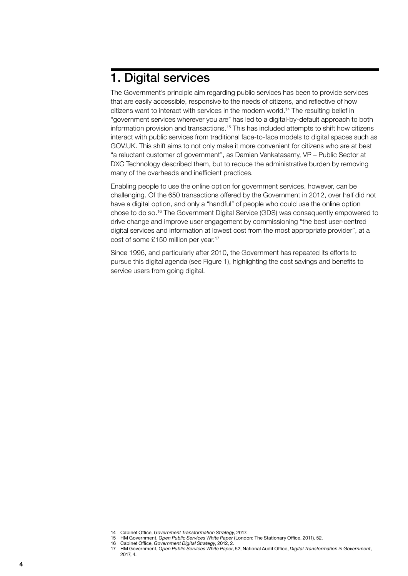# <span id="page-5-0"></span>1. Digital services

The Government's principle aim regarding public services has been to provide services that are easily accessible, responsive to the needs of citizens, and reflective of how citizens want to interact with services in the modern world.14 The resulting belief in "government services wherever you are" has led to a digital-by-default approach to both information provision and transactions.15 This has included attempts to shift how citizens interact with public services from traditional face-to-face models to digital spaces such as [GOV.UK](http://GOV.UK). This shift aims to not only make it more convenient for citizens who are at best "a reluctant customer of government", as Damien Venkatasamy, VP – Public Sector at DXC Technology described them, but to reduce the administrative burden by removing many of the overheads and inefficient practices.

Enabling people to use the online option for government services, however, can be challenging. Of the 650 transactions offered by the Government in 2012, over half did not have a digital option, and only a "handful" of people who could use the online option chose to do so.16 The Government Digital Service (GDS) was consequently empowered to drive change and improve user engagement by commissioning "the best user-centred digital services and information at lowest cost from the most appropriate provider", at a cost of some £150 million per year.17

Since 1996, and particularly after 2010, the Government has repeated its efforts to pursue this digital agenda (see [Figure 1](#page-6-0)), highlighting the cost savings and benefits to service users from going digital.

<sup>14</sup> Cabinet Office, *Government Transformation Strategy*, 2017.

<sup>15</sup> HM Government, *Open Public Services White Paper* (London: The Stationary Office, 2011), 52.

<sup>16</sup> Cabinet Office, *Government Digital Strategy*, 2012, 2. 17 HM Government, *Open Public Services White Paper*, 52; National Audit Office, *Digital Transformation in Government*, 2017, 4.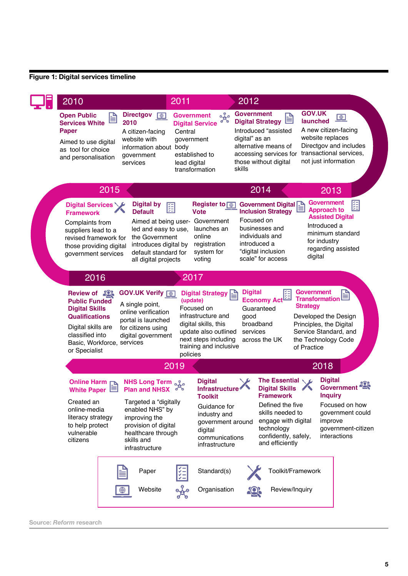# <span id="page-6-0"></span>**Figure 1: Digital services timeline**

| 2010                                                                                                                                                                                                                                                      |                                                                                                                                                                                              | 2011                                                       |                                                                                                                                                               | 2012                                          |                                                                                                                                                                                                            |                                                                              |                                                                                                                                                                                                 |
|-----------------------------------------------------------------------------------------------------------------------------------------------------------------------------------------------------------------------------------------------------------|----------------------------------------------------------------------------------------------------------------------------------------------------------------------------------------------|------------------------------------------------------------|---------------------------------------------------------------------------------------------------------------------------------------------------------------|-----------------------------------------------|------------------------------------------------------------------------------------------------------------------------------------------------------------------------------------------------------------|------------------------------------------------------------------------------|-------------------------------------------------------------------------------------------------------------------------------------------------------------------------------------------------|
| <b>Directgov</b><br><b>Open Public</b><br>≝<br>2010<br><b>Services White</b><br><b>Paper</b><br>A citizen-facing<br>website with<br>Aimed to use digital<br>information about body<br>as tool for choice<br>government<br>and personalisation<br>services |                                                                                                                                                                                              | <b>Government</b><br>Central<br>government<br>lead digital | $\frac{1}{2}$<br><b>Digital Service</b><br>established to<br>transformation                                                                                   | <b>Government</b><br>digital" as an<br>skills | 巨<br><b>Digital Strategy</b><br>Introduced "assisted<br>alternative means of<br>accessing services for<br>those without digital                                                                            | <b>GOV.UK</b><br>launched                                                    | $\begin{array}{ c } \hline \textcircled{\footnotesize{0}} \end{array}$<br>A new citizen-facing<br>website replaces<br>Directgov and includes<br>transactional services,<br>not just information |
| 2015                                                                                                                                                                                                                                                      |                                                                                                                                                                                              |                                                            |                                                                                                                                                               |                                               | 2014                                                                                                                                                                                                       |                                                                              | 2013                                                                                                                                                                                            |
| Digital Services<br><b>Framework</b><br>Complaints from<br>suppliers lead to a<br>revised framework for<br>those providing digital<br>government services                                                                                                 | <b>Digital by</b><br>距<br><b>Default</b><br>Aimed at being user-<br>led and easy to use,<br>the Government<br>introduces digital by<br>default standard for<br>all digital projects          |                                                            | Register to <b>@</b><br><b>Vote</b><br>Government<br>launches an<br>online<br>registration<br>system for<br>voting                                            | Focused on                                    | Government Digital<br><b>Inclusion Strategy</b><br>businesses and<br>individuals and<br>introduced a<br>"digital inclusion<br>scale" for access                                                            | for industry<br>digital                                                      | <b>Government</b><br>阻<br><b>Approach to</b><br><b>Assisted Digital</b><br>Introduced a<br>minimum standard<br>regarding assisted                                                               |
| 2016                                                                                                                                                                                                                                                      |                                                                                                                                                                                              | 2017                                                       |                                                                                                                                                               |                                               |                                                                                                                                                                                                            |                                                                              |                                                                                                                                                                                                 |
| <b>Review of 20%</b><br><b>Public Funded</b><br><b>Digital Skills</b><br><b>Qualifications</b><br>Digital skills are<br>classified into<br>Basic, Workforce, services<br>or Specialist                                                                    | <b>GOV.UK Verify @</b><br>A single point,<br>online verification<br>portal is launched<br>for citizens using<br>digital government                                                           | (update)<br>policies                                       | <b>Digital Strategy</b><br>Focused on<br>infrastructure and<br>digital skills, this<br>update also outlined<br>next steps including<br>training and inclusive | good<br>services                              | Economy Act<br>Guaranteed<br>broadband<br>across the UK                                                                                                                                                    | <b>Government</b><br><b>Transformation</b><br><b>Strategy</b><br>of Practice | 冒<br>Developed the Design<br>Principles, the Digital<br>Service Standard, and<br>the Technology Code                                                                                            |
|                                                                                                                                                                                                                                                           | 2019                                                                                                                                                                                         |                                                            |                                                                                                                                                               |                                               |                                                                                                                                                                                                            | 2018                                                                         |                                                                                                                                                                                                 |
| Online Harm <sub>D</sub><br><b>White Paper</b><br>Created an<br>online-media<br>literacy strategy<br>to help protect<br>vulnerable<br>citizens                                                                                                            | <b>NHS Long Term of a</b><br><b>Plan and NHSX</b><br>Targeted a "digitally<br>enabled NHS" by<br>improving the<br>provision of digital<br>healthcare through<br>skills and<br>infrastructure |                                                            | <b>Digital</b><br>Infrastructure<br><b>Toolkit</b><br>Guidance for<br>industry and<br>government around<br>digital<br>communications<br>infrastructure        |                                               | The Essential $\setminus \mathcal{L}$<br><b>Digital Skills</b><br><b>Framework</b><br>Defined the five<br>skills needed to<br>engage with digital<br>technology<br>confidently, safely,<br>and efficiently |                                                                              | <b>Digital</b><br><b>Government</b><br><b>Inquiry</b><br>Focused on how<br>government could<br>improve<br>government-citizen<br>interactions                                                    |
|                                                                                                                                                                                                                                                           | Paper<br>Website                                                                                                                                                                             |                                                            | Standard(s)<br>Organisation                                                                                                                                   |                                               | Toolkit/Framework<br>Review/Inquiry                                                                                                                                                                        |                                                                              |                                                                                                                                                                                                 |

**Source:** *Reform* **research**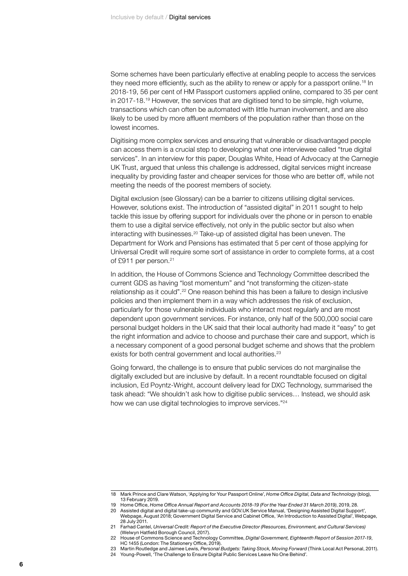Some schemes have been particularly effective at enabling people to access the services they need more efficiently, such as the ability to renew or apply for a passport online.<sup>18</sup> In 2018-19, 56 per cent of HM Passport customers applied online, compared to 35 per cent in 2017-18.19 However, the services that are digitised tend to be simple, high volume, transactions which can often be automated with little human involvement, and are also likely to be used by more affluent members of the population rather than those on the lowest incomes.

Digitising more complex services and ensuring that vulnerable or disadvantaged people can access them is a crucial step to developing what one interviewee called "true digital services". In an interview for this paper, Douglas White, Head of Advocacy at the Carnegie UK Trust, argued that unless this challenge is addressed, digital services might increase inequality by providing faster and cheaper services for those who are better off, while not meeting the needs of the poorest members of society.

Digital exclusion (see Glossary) can be a barrier to citizens utilising digital services. However, solutions exist. The introduction of "assisted digital" in 2011 sought to help tackle this issue by offering support for individuals over the phone or in person to enable them to use a digital service effectively, not only in the public sector but also when interacting with businesses. $20$  Take-up of assisted digital has been uneven. The Department for Work and Pensions has estimated that 5 per cent of those applying for Universal Credit will require some sort of assistance in order to complete forms, at a cost of £911 per person.<sup>21</sup>

In addition, the House of Commons Science and Technology Committee described the current GDS as having "lost momentum" and "not transforming the citizen-state relationship as it could".<sup>22</sup> One reason behind this has been a failure to design inclusive policies and then implement them in a way which addresses the risk of exclusion, particularly for those vulnerable individuals who interact most regularly and are most dependent upon government services. For instance, only half of the 500,000 social care personal budget holders in the UK said that their local authority had made it "easy" to get the right information and advice to choose and purchase their care and support, which is a necessary component of a good personal budget scheme and shows that the problem exists for both central government and local authorities.<sup>23</sup>

Going forward, the challenge is to ensure that public services do not marginalise the digitally excluded but are inclusive by default. In a recent roundtable focused on digital inclusion, Ed Poyntz-Wright, account delivery lead for DXC Technology, summarised the task ahead: "We shouldn't ask how to digitise public services… Instead, we should ask how we can use digital technologies to improve services."<sup>24</sup>

<sup>18</sup> Mark Prince and Clare Watson, 'Applying for Your Passport Online', *Home Office Digital, Data and Technology* (blog), 13 February 2019.

<sup>19</sup> Home Office, *Home Office Annual Report and Accounts 2018-19 (For the Year Ended 31 March 2019)*, 2019, 28.

<sup>20</sup> Assisted digital and digital take-up community and [GOV.UK](http://GOV.UK) Service Manual, 'Designing Assisted Digital Support', Webpage, August 2018; Government Digital Service and Cabinet Office, 'An Introduction to Assisted Digital', Webpage, 28 July 2011.

<sup>21</sup> Farhad Cantel, *Universal Credit: Report of the Executive Director (Resources, Environment, and Cultural Services)* (Welwyn Hatfield Borough Council, 2017).

<sup>22</sup> House of Commons Science and Technology Committee, *Digital Government, Eighteenth Report of Session 2017-19*, HC 1455 (London: The Stationery Office, 2019).

<sup>23</sup> Martin Routledge and Jaimee Lewis, *Personal Budgets: Taking Stock, Moving Forward* (Think Local Act Personal, 2011). 24 Young-Powell, 'The Challenge to Ensure Digital Public Services Leave No One Behind'.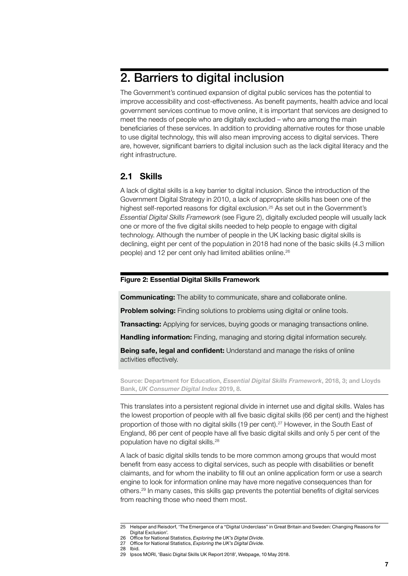# <span id="page-8-0"></span>2. Barriers to digital inclusion

The Government's continued expansion of digital public services has the potential to improve accessibility and cost-effectiveness. As benefit payments, health advice and local government services continue to move online, it is important that services are designed to meet the needs of people who are digitally excluded – who are among the main beneficiaries of these services. In addition to providing alternative routes for those unable to use digital technology, this will also mean improving access to digital services. There are, however, significant barriers to digital inclusion such as the lack digital literacy and the right infrastructure.

# **2.1 Skills**

A lack of digital skills is a key barrier to digital inclusion. Since the introduction of the Government Digital Strategy in 2010, a lack of appropriate skills has been one of the highest self-reported reasons for digital exclusion.<sup>25</sup> As set out in the Government's *Essential Digital Skills Framework* (see [Figure 2\)](#page-8-1), digitally excluded people will usually lack one or more of the five digital skills needed to help people to engage with digital technology. Although the number of people in the UK lacking basic digital skills is declining, eight per cent of the population in 2018 had none of the basic skills (4.3 million people) and 12 per cent only had limited abilities online.26

## <span id="page-8-1"></span>**Figure 2: Essential Digital Skills Framework**

**Communicating:** The ability to communicate, share and collaborate online.

**Problem solving:** Finding solutions to problems using digital or online tools.

**Transacting:** Applying for services, buying goods or managing transactions online.

**Handling information:** Finding, managing and storing digital information securely.

**Being safe, legal and confident:** Understand and manage the risks of online activities effectively.

**Source: Department for Education,** *Essential Digital Skills Framework***, 2018, 3; and Lloyds Bank,** *UK Consumer Digital Index* **2019, 8.**

This translates into a persistent regional divide in internet use and digital skills. Wales has the lowest proportion of people with all five basic digital skills (66 per cent) and the highest proportion of those with no digital skills (19 per cent).27 However, in the South East of England, 86 per cent of people have all five basic digital skills and only 5 per cent of the population have no digital skills.28

A lack of basic digital skills tends to be more common among groups that would most benefit from easy access to digital services, such as people with disabilities or benefit claimants, and for whom the inability to fill out an online application form or use a search engine to look for information online may have more negative consequences than for others.29 In many cases, this skills gap prevents the potential benefits of digital services from reaching those who need them most.

<sup>25</sup> Helsper and Reisdorf, 'The Emergence of a "Digital Underclass" in Great Britain and Sweden: Changing Reasons for Digital Exclusion'.

<sup>26</sup> Office for National Statistics, *Exploring the UK's Digital Divide*. 27 Office for National Statistics, *Exploring the UK's Digital Divide*.

<sup>28</sup> Ibid.

<sup>29</sup> Ipsos MORI, 'Basic Digital Skills UK Report 2018', Webpage, 10 May 2018.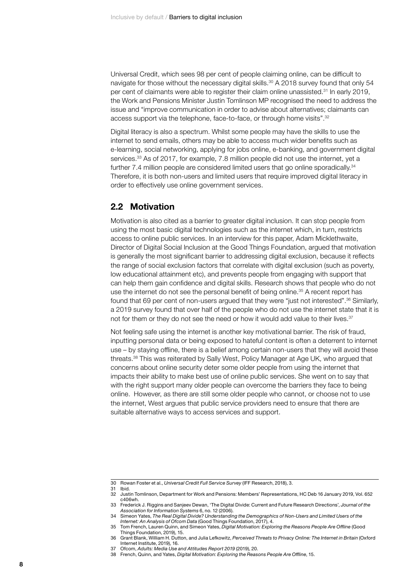<span id="page-9-0"></span>Universal Credit, which sees 98 per cent of people claiming online, can be difficult to navigate for those without the necessary digital skills.<sup>30</sup> A 2018 survey found that only 54 per cent of claimants were able to register their claim online unassisted.31 In early 2019, the Work and Pensions Minister Justin Tomlinson MP recognised the need to address the issue and "improve communication in order to advise about alternatives; claimants can access support via the telephone, face-to-face, or through home visits".32

Digital literacy is also a spectrum. Whilst some people may have the skills to use the internet to send emails, others may be able to access much wider benefits such as e-learning, social networking, applying for jobs online, e-banking, and government digital services.<sup>33</sup> As of 2017, for example, 7.8 million people did not use the internet, yet a further 7.4 million people are considered limited users that go online sporadically.<sup>34</sup> Therefore, it is both non-users and limited users that require improved digital literacy in order to effectively use online government services.

## **2.2 Motivation**

Motivation is also cited as a barrier to greater digital inclusion. It can stop people from using the most basic digital technologies such as the internet which, in turn, restricts access to online public services. In an interview for this paper, Adam Micklethwaite, Director of Digital Social Inclusion at the Good Things Foundation, argued that motivation is generally the most significant barrier to addressing digital exclusion, because it reflects the range of social exclusion factors that correlate with digital exclusion (such as poverty, low educational attainment etc), and prevents people from engaging with support that can help them gain confidence and digital skills. Research shows that people who do not use the internet do not see the personal benefit of being online.<sup>35</sup> A recent report has found that 69 per cent of non-users argued that they were "just not interested".36 Similarly, a 2019 survey found that over half of the people who do not use the internet state that it is not for them or they do not see the need or how it would add value to their lives.<sup>37</sup>

Not feeling safe using the internet is another key motivational barrier. The risk of fraud, inputting personal data or being exposed to hateful content is often a deterrent to internet use – by staying offline, there is a belief among certain non-users that they will avoid these threats.38 This was reiterated by Sally West, Policy Manager at Age UK, who argued that concerns about online security deter some older people from using the internet that impacts their ability to make best use of online public services. She went on to say that with the right support many older people can overcome the barriers they face to being online. However, as there are still some older people who cannot, or choose not to use the internet, West argues that public service providers need to ensure that there are suitable alternative ways to access services and support.

<sup>30</sup> Rowan Foster et al., *Universal Credit Full Service Survey* (IFF Research, 2018), 3.

<sup>31</sup> Ibid.

<sup>32</sup> Justin Tomlinson, Department for Work and Pensions: Members' Representations, HC Deb 16 January 2019, Vol. 652 c406wh.

<sup>33</sup> Frederick J. Riggins and Sanjeev Dewan, 'The Digital Divide: Current and Future Research Directions', *Journal of the Association for Information Systems* 6, no. 12 (2006).

<sup>34</sup> Simeon Yates, *The Real Digital Divide? Understanding the Demographics of Non-Users and Limited Users of the Internet: An Analysis of Ofcom Data* (Good Things Foundation, 2017), 4.

<sup>35</sup> Tom French, Lauren Quinn, and Simeon Yates, *Digital Motivation: Exploring the Reasons People Are Offline* (Good Things Foundation, 2019), 15.

<sup>36</sup> Grant Blank, William H. Dutton, and Julia Lefkowitz, *Perceived Threats to Privacy Online: The Internet in Britain* (Oxford Internet Institute, 2019), 16.

<sup>37</sup> Ofcom, *Adults: Media Use and Attitudes Report 2019* (2019), 20.

<sup>38</sup> French, Quinn, and Yates, *Digital Motivation: Exploring the Reasons People Are Offline*, 15.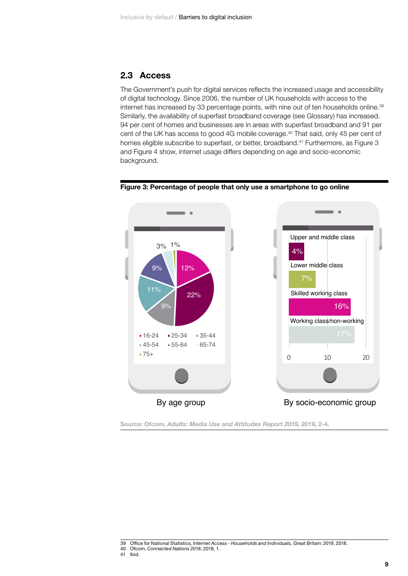## **2.3 Access**

The Government's push for digital services reflects the increased usage and accessibility of digital technology. Since 2006, the number of UK households with access to the internet has increased by 33 percentage points, with nine out of ten households online.<sup>39</sup> Similarly, the availability of superfast broadband coverage (see Glossary) has increased. 94 per cent of homes and businesses are in areas with superfast broadband and 91 per cent of the UK has access to good 4G mobile coverage.<sup>40</sup> That said, only 45 per cent of homes eligible subscribe to superfast, or better, broadband.<sup>41</sup> Furthermore, as [Figure 3](#page-10-0) and [Figure 4](#page-11-0) show, internet usage differs depending on age and socio-economic background.



<span id="page-10-0"></span>

**Source: Ofcom,** *Adults: Media Use and Attitudes Report 2019,* **2019, 2-4.**

<sup>39</sup> Office for National Statistics, *Internet Access - Households and Individuals, Great Britain: 2018*, 2018.

<sup>40</sup> Ofcom, *Connected Nations 2018*, 2018, 1.

<sup>41</sup> Ibid.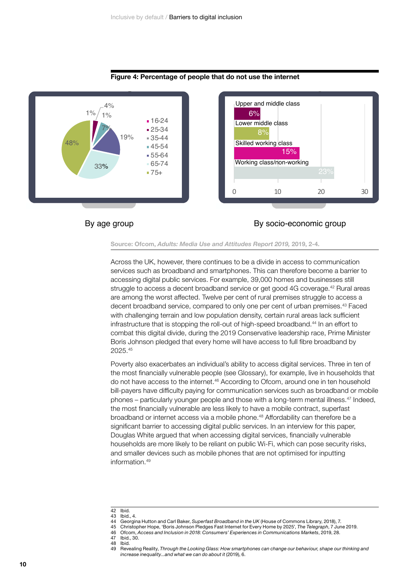

### <span id="page-11-0"></span>**Figure 4: Percentage of people that do not use the internet**

## By age group By socio-economic group

### **Source: Ofcom,** *Adults: Media Use and Attitudes Report 2019,* **2019, 2-4.**

Across the UK, however, there continues to be a divide in access to communication services such as broadband and smartphones. This can therefore become a barrier to accessing digital public services. For example, 39,000 homes and businesses still struggle to access a decent broadband service or get good 4G coverage.42 Rural areas are among the worst affected. Twelve per cent of rural premises struggle to access a decent broadband service, compared to only one per cent of urban premises.43 Faced with challenging terrain and low population density, certain rural areas lack sufficient infrastructure that is stopping the roll-out of high-speed broadband.44 In an effort to combat this digital divide, during the 2019 Conservative leadership race, Prime Minister Boris Johnson pledged that every home will have access to full fibre broadband by 2025.45

Poverty also exacerbates an individual's ability to access digital services. Three in ten of the most financially vulnerable people (see Glossary), for example, live in households that do not have access to the internet.46 According to Ofcom, around one in ten household bill-payers have difficulty paying for communication services such as broadband or mobile phones – particularly younger people and those with a long-term mental illness.47 Indeed, the most financially vulnerable are less likely to have a mobile contract, superfast broadband or internet access via a mobile phone.<sup>48</sup> Affordability can therefore be a significant barrier to accessing digital public services. In an interview for this paper, Douglas White argued that when accessing digital services, financially vulnerable households are more likely to be reliant on public Wi-Fi, which can pose security risks, and smaller devices such as mobile phones that are not optimised for inputting information 49

42 Ibid.<br>43 Ibid

44 Georgina Hutton and Carl Baker, *Superfast Broadband in the UK* (House of Commons Library, 2018), 7. 45 Christopher Hope, 'Boris Johnson Pledges Fast Internet for Every Home by 2025', *The Telegraph*, 7 June 2019.

- 
- 47 Ibid., 30. 48 Ibid.<br>49 Reve

<sup>43</sup> Ibid., 4<br>44 Georgi

<sup>46</sup> Ofcom, *Access and Inclusion in 2018: Consumers' Experiences in Communications Markets*, 2019, 28.

<sup>49</sup> Revealing Reality, *Through the Looking Glass: How smartphones can change our behaviour, shape our thinking and increase inequality...and what we can do about it* (2019), 6.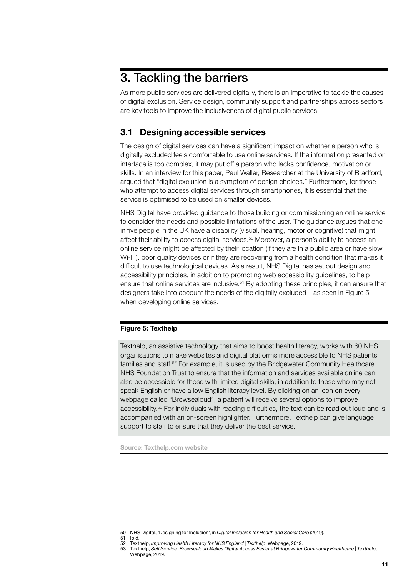# <span id="page-12-0"></span>3. Tackling the barriers

As more public services are delivered digitally, there is an imperative to tackle the causes of digital exclusion. Service design, community support and partnerships across sectors are key tools to improve the inclusiveness of digital public services.

# **3.1 Designing accessible services**

The design of digital services can have a significant impact on whether a person who is digitally excluded feels comfortable to use online services. If the information presented or interface is too complex, it may put off a person who lacks confidence, motivation or skills. In an interview for this paper, Paul Waller, Researcher at the University of Bradford, argued that "digital exclusion is a symptom of design choices." Furthermore, for those who attempt to access digital services through smartphones, it is essential that the service is optimised to be used on smaller devices.

NHS Digital have provided guidance to those building or commissioning an online service to consider the needs and possible limitations of the user. The guidance argues that one in five people in the UK have a disability (visual, hearing, motor or cognitive) that might affect their ability to access digital services.50 Moreover, a person's ability to access an online service might be affected by their location (if they are in a public area or have slow Wi-Fi), poor quality devices or if they are recovering from a health condition that makes it difficult to use technological devices. As a result, NHS Digital has set out design and accessibility principles, in addition to promoting web accessibility guidelines, to help ensure that online services are inclusive.51 By adopting these principles, it can ensure that designers take into account the needs of the digitally excluded – as seen in [Figure](#page-12-1) 5 – when developing online services.

## <span id="page-12-1"></span>**Figure 5: Texthelp**

Texthelp, an assistive technology that aims to boost health literacy, works with 60 NHS organisations to make websites and digital platforms more accessible to NHS patients, families and staff.<sup>52</sup> For example, it is used by the Bridgewater Community Healthcare NHS Foundation Trust to ensure that the information and services available online can also be accessible for those with limited digital skills, in addition to those who may not speak English or have a low English literacy level. By clicking on an icon on every webpage called "Browsealoud", a patient will receive several options to improve accessibility.53 For individuals with reading difficulties, the text can be read out loud and is accompanied with an on-screen highlighter. Furthermore, Texthelp can give language support to staff to ensure that they deliver the best service.

**Source: [Texthelp.com](http://Texthelp.com) website**

<sup>50</sup> NHS Digital, 'Designing for Inclusion', in *Digital Inclusion for Health and Social Care* (2019).

<sup>51</sup> Ibid.<br>52 Text

<sup>52</sup> Texthelp, *Improving Health Literacy for NHS England* | Texthelp, Webpage, 2019.<br>53 Texthelp, Self Service: Browsealoud Makes Digital Access Easier at Bridgewater 53 Texthelp, *Self Service: Browsealoud Makes Digital Access Easier at Bridgewater Community Healthcare | Texthelp*, Webpage, 2019.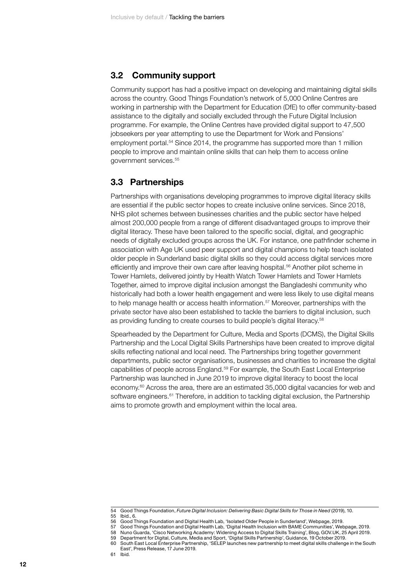## <span id="page-13-0"></span>**3.2 Community support**

Community support has had a positive impact on developing and maintaining digital skills across the country. Good Things Foundation's network of 5,000 Online Centres are working in partnership with the Department for Education (DfE) to offer community-based assistance to the digitally and socially excluded through the Future Digital Inclusion programme. For example, the Online Centres have provided digital support to 47,500 jobseekers per year attempting to use the Department for Work and Pensions' employment portal.54 Since 2014, the programme has supported more than 1 million people to improve and maintain online skills that can help them to access online government services.55

## **3.3 Partnerships**

Partnerships with organisations developing programmes to improve digital literacy skills are essential if the public sector hopes to create inclusive online services. Since 2018, NHS pilot schemes between businesses charities and the public sector have helped almost 200,000 people from a range of different disadvantaged groups to improve their digital literacy. These have been tailored to the specific social, digital, and geographic needs of digitally excluded groups across the UK. For instance, one pathfinder scheme in association with Age UK used peer support and digital champions to help teach isolated older people in Sunderland basic digital skills so they could access digital services more efficiently and improve their own care after leaving hospital.<sup>56</sup> Another pilot scheme in Tower Hamlets, delivered jointly by Health Watch Tower Hamlets and Tower Hamlets Together, aimed to improve digital inclusion amongst the Bangladeshi community who historically had both a lower health engagement and were less likely to use digital means to help manage health or access health information.<sup>57</sup> Moreover, partnerships with the private sector have also been established to tackle the barriers to digital inclusion, such as providing funding to create courses to build people's digital literacy.58

Spearheaded by the Department for Culture, Media and Sports (DCMS), the Digital Skills Partnership and the Local Digital Skills Partnerships have been created to improve digital skills reflecting national and local need. The Partnerships bring together government departments, public sector organisations, businesses and charities to increase the digital capabilities of people across England.59 For example, the South East Local Enterprise Partnership was launched in June 2019 to improve digital literacy to boost the local economy.60 Across the area, there are an estimated 35,000 digital vacancies for web and software engineers.<sup>61</sup> Therefore, in addition to tackling digital exclusion, the Partnership aims to promote growth and employment within the local area.

59 Department for Digital, Culture, Media and Sport, 'Digital Skills Partnership', Guidance, 19 October 2019.

<sup>54</sup> Good Things Foundation, *Future Digital Inclusion: Delivering Basic Digital Skills for Those in Need (2019), 10.*<br>55 Ibid 6

<sup>55</sup> Ibid., 6.<br>56 Good J

<sup>56</sup> Good Things Foundation and Digital Health Lab, 'Isolated Older People in Sunderland', Webpage, 2019.<br>57 Good Things Foundation and Digital Health Lab. 'Digital Health Inclusion with RAME Communities' Web

<sup>57</sup> Good Things Foundation and Digital Health Lab, 'Digital Health Inclusion with BAME Communities', Webpage, 2019. 58 Nuno Guarda, 'Cisco Networking Academy: Widening Access to Digital Skills Training', Blog, [GOV.UK](http://GOV.UK), 25 April 2019.

South East Local Enterprise Partnership, 'SELEP launches new partnership to meet digital skills challenge in the South East', Press Release, 17 June 2019.

<sup>61</sup> Ibid.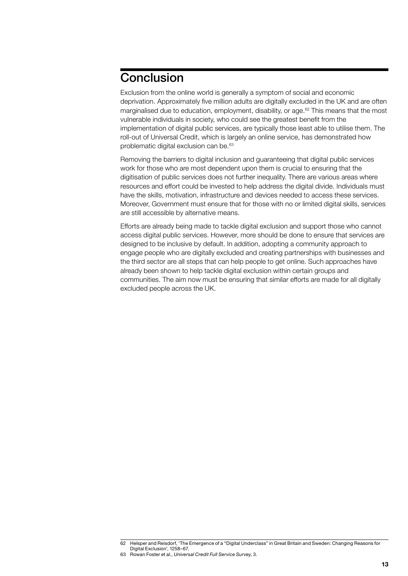# <span id="page-14-0"></span>**Conclusion**

Exclusion from the online world is generally a symptom of social and economic deprivation. Approximately five million adults are digitally excluded in the UK and are often marginalised due to education, employment, disability, or age.<sup>62</sup> This means that the most vulnerable individuals in society, who could see the greatest benefit from the implementation of digital public services, are typically those least able to utilise them. The roll-out of Universal Credit, which is largely an online service, has demonstrated how problematic digital exclusion can be.<sup>63</sup>

Removing the barriers to digital inclusion and guaranteeing that digital public services work for those who are most dependent upon them is crucial to ensuring that the digitisation of public services does not further inequality. There are various areas where resources and effort could be invested to help address the digital divide. Individuals must have the skills, motivation, infrastructure and devices needed to access these services. Moreover, Government must ensure that for those with no or limited digital skills, services are still accessible by alternative means.

Efforts are already being made to tackle digital exclusion and support those who cannot access digital public services. However, more should be done to ensure that services are designed to be inclusive by default. In addition, adopting a community approach to engage people who are digitally excluded and creating partnerships with businesses and the third sector are all steps that can help people to get online. Such approaches have already been shown to help tackle digital exclusion within certain groups and communities. The aim now must be ensuring that similar efforts are made for all digitally excluded people across the UK.

<sup>62</sup> Helsper and Reisdorf, 'The Emergence of a "Digital Underclass" in Great Britain and Sweden: Changing Reasons for Digital Exclusion', 1258–67.

<sup>63</sup> Rowan Foster et al., *Universal Credit Full Service Survey*, 3.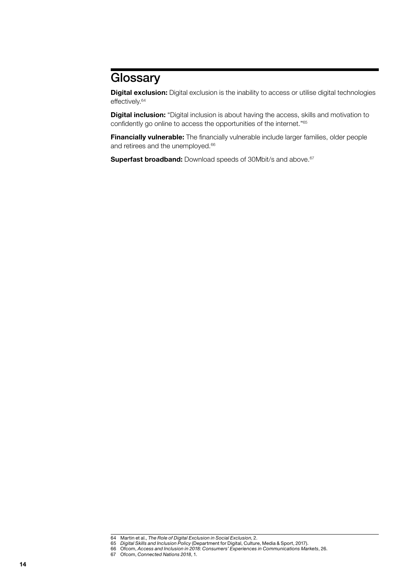# <span id="page-15-0"></span>**Glossary**

**Digital exclusion:** Digital exclusion is the inability to access or utilise digital technologies effectively.<sup>64</sup>

**Digital inclusion:** "Digital inclusion is about having the access, skills and motivation to confidently go online to access the opportunities of the internet."<sup>65</sup>

**Financially vulnerable:** The financially vulnerable include larger families, older people and retirees and the unemployed.<sup>66</sup>

**Superfast broadband:** Download speeds of 30Mbit/s and above.<sup>67</sup>

<sup>64</sup> Martin et al., *The Role of Digital Exclusion in Social Exclusion*, 2.

<sup>65</sup> *Digital Skills and Inclusion Policy* (Department for Digital, Culture, Media & Sport, 2017).

<sup>66</sup> Ofcom, *Access and Inclusion in 2018: Consumers' Experiences in Communications Markets*, 26. 67 Ofcom, *Connected Nations 2018*, 1.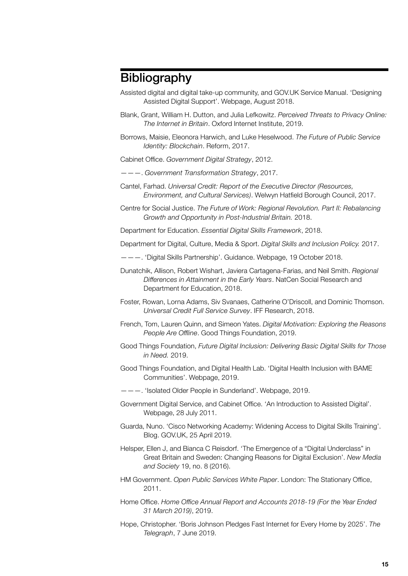# <span id="page-16-0"></span>**Bibliography**

- Assisted digital and digital take-up community, and [GOV.UK](http://GOV.UK) Service Manual. 'Designing Assisted Digital Support'. Webpage, August 2018.
- Blank, Grant, William H. Dutton, and Julia Lefkowitz. *Perceived Threats to Privacy Online: The Internet in Britain*. Oxford Internet Institute, 2019.
- Borrows, Maisie, Eleonora Harwich, and Luke Heselwood. *The Future of Public Service Identity: Blockchain*. Reform, 2017.
- Cabinet Office. *Government Digital Strategy*, 2012.
- ———. *Government Transformation Strategy*, 2017.
- Cantel, Farhad. *Universal Credit: Report of the Executive Director (Resources, Environment, and Cultural Services)*. Welwyn Hatfield Borough Council, 2017.
- Centre for Social Justice. *The Future of Work: Regional Revolution. Part II: Rebalancing Growth and Opportunity in Post-Industrial Britain.* 2018.

Department for Education. *Essential Digital Skills Framework*, 2018.

Department for Digital, Culture, Media & Sport. *Digital Skills and Inclusion Policy.* 2017.

- ———. 'Digital Skills Partnership'. Guidance. Webpage, 19 October 2018.
- Dunatchik, Allison, Robert Wishart, Javiera Cartagena-Farias, and Neil Smith. *Regional Differences in Attainment in the Early Years*. NatCen Social Research and Department for Education, 2018.
- Foster, Rowan, Lorna Adams, Siv Svanaes, Catherine O'Driscoll, and Dominic Thomson. *Universal Credit Full Service Survey*. IFF Research, 2018.
- French, Tom, Lauren Quinn, and Simeon Yates. *Digital Motivation: Exploring the Reasons People Are Offline*. Good Things Foundation, 2019.
- Good Things Foundation, *Future Digital Inclusion: Delivering Basic Digital Skills for Those in Need.* 2019.
- Good Things Foundation, and Digital Health Lab. 'Digital Health Inclusion with BAME Communities'. Webpage, 2019.
- ———. 'Isolated Older People in Sunderland'. Webpage, 2019.
- Government Digital Service, and Cabinet Office. 'An Introduction to Assisted Digital'. Webpage, 28 July 2011.
- Guarda, Nuno. 'Cisco Networking Academy: Widening Access to Digital Skills Training'. Blog. [GOV.UK](http://GOV.UK), 25 April 2019.
- Helsper, Ellen J, and Bianca C Reisdorf. 'The Emergence of a "Digital Underclass" in Great Britain and Sweden: Changing Reasons for Digital Exclusion'. *New Media and Society* 19, no. 8 (2016).
- HM Government. *Open Public Services White Paper*. London: The Stationary Office, 2011.
- Home Office. *Home Office Annual Report and Accounts 2018-19 (For the Year Ended 31 March 2019)*, 2019.
- Hope, Christopher. 'Boris Johnson Pledges Fast Internet for Every Home by 2025'. *The Telegraph*, 7 June 2019.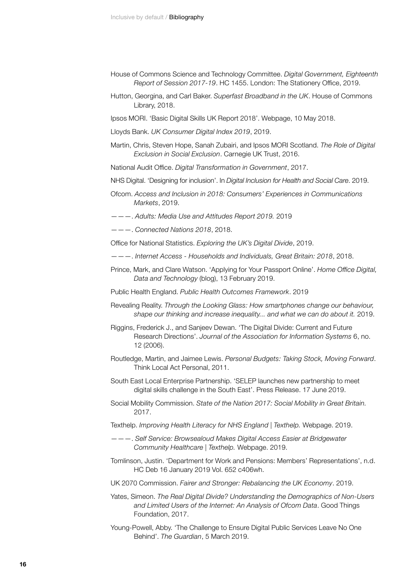- House of Commons Science and Technology Committee. *Digital Government, Eighteenth Report of Session 2017-19*. HC 1455. London: The Stationery Office, 2019.
- Hutton, Georgina, and Carl Baker. *Superfast Broadband in the UK*. House of Commons Library, 2018.
- Ipsos MORI. 'Basic Digital Skills UK Report 2018'. Webpage, 10 May 2018.

Lloyds Bank. *UK Consumer Digital Index 2019*, 2019.

- Martin, Chris, Steven Hope, Sanah Zubairi, and Ipsos MORI Scotland. *The Role of Digital Exclusion in Social Exclusion*. Carnegie UK Trust, 2016.
- National Audit Office. *Digital Transformation in Government*, 2017.
- NHS Digital. 'Designing for inclusion'. In *Digital Inclusion for Health and Social Care*. 2019.
- Ofcom. *Access and Inclusion in 2018: Consumers' Experiences in Communications Markets*, 2019.
- ———. *Adults: Media Use and Attitudes Report 2019.* 2019
- ———. *Connected Nations 2018*, 2018.
- Office for National Statistics. *Exploring the UK's Digital Divide*, 2019.
- ———. *Internet Access Households and Individuals, Great Britain: 2018*, 2018.
- Prince, Mark, and Clare Watson. 'Applying for Your Passport Online'. *Home Office Digital, Data and Technology* (blog), 13 February 2019.
- Public Health England. *Public Health Outcomes Framework*. 2019
- Revealing Reality. *Through the Looking Glass: How smartphones change our behaviour, shape our thinking and increase inequality... and what we can do about it.* 2019.
- Riggins, Frederick J., and Sanjeev Dewan. 'The Digital Divide: Current and Future Research Directions'. *Journal of the Association for Information Systems* 6, no. 12 (2006).
- Routledge, Martin, and Jaimee Lewis. *Personal Budgets: Taking Stock, Moving Forward*. Think Local Act Personal, 2011.
- South East Local Enterprise Partnership. 'SELEP launches new partnership to meet digital skills challenge in the South East'. Press Release. 17 June 2019.
- Social Mobility Commission. *State of the Nation 2017: Social Mobility in Great Britain.*  2017.
- Texthelp. *Improving Health Literacy for NHS England | Texthelp.* Webpage. 2019.
- ———. *Self Service: Browsealoud Makes Digital Access Easier at Bridgewater Community Healthcare | Texthelp.* Webpage. 2019.
- Tomlinson, Justin. 'Department for Work and Pensions: Members' Representations', n.d. HC Deb 16 January 2019 Vol. 652 c406wh.
- UK 2070 Commission. *Fairer and Stronger: Rebalancing the UK Economy*. 2019.
- Yates, Simeon. *The Real Digital Divide? Understanding the Demographics of Non-Users and Limited Users of the Internet: An Analysis of Ofcom Data*. Good Things Foundation, 2017.
- Young-Powell, Abby. 'The Challenge to Ensure Digital Public Services Leave No One Behind'. *The Guardian*, 5 March 2019.